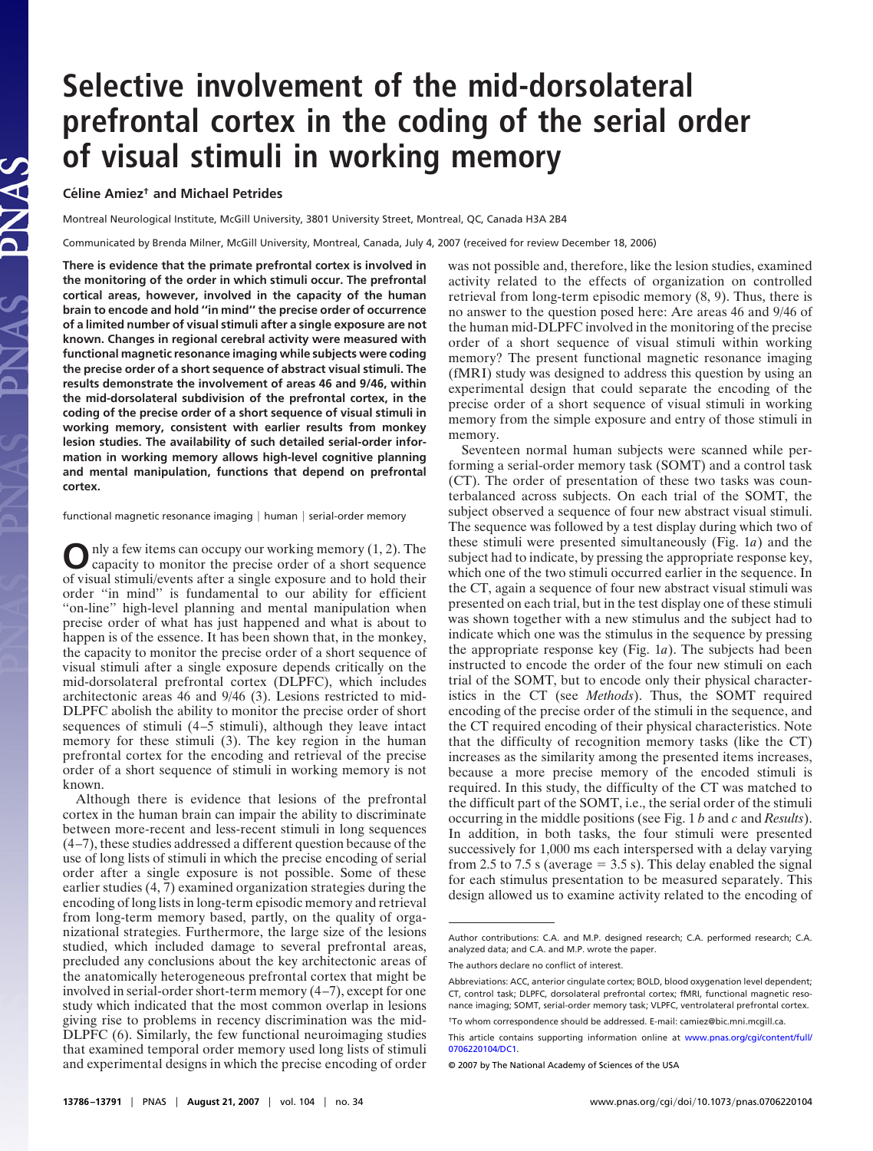# **Selective involvement of the mid-dorsolateral prefrontal cortex in the coding of the serial order of visual stimuli in working memory**

# **Céline Amiez<sup>†</sup> and Michael Petrides**

Montreal Neurological Institute, McGill University, 3801 University Street, Montreal, QC, Canada H3A 2B4

Communicated by Brenda Milner, McGill University, Montreal, Canada, July 4, 2007 (received for review December 18, 2006)

**There is evidence that the primate prefrontal cortex is involved in the monitoring of the order in which stimuli occur. The prefrontal cortical areas, however, involved in the capacity of the human brain to encode and hold ''in mind'' the precise order of occurrence of a limited number of visual stimuli after a single exposure are not known. Changes in regional cerebral activity were measured with functional magnetic resonance imaging while subjects were coding the precise order of a short sequence of abstract visual stimuli. The results demonstrate the involvement of areas 46 and 9/46, within the mid-dorsolateral subdivision of the prefrontal cortex, in the coding of the precise order of a short sequence of visual stimuli in working memory, consistent with earlier results from monkey lesion studies. The availability of such detailed serial-order information in working memory allows high-level cognitive planning and mental manipulation, functions that depend on prefrontal cortex.**

functional magnetic resonance imaging  $|$  human  $|$  serial-order memory

O nly a few items can occupy our working memory (1, 2). The capacity to monitor the precise order of a short sequence of visual stimuli/events after a single exposure and to hold their order ''in mind'' is fundamental to our ability for efficient "on-line" high-level planning and mental manipulation when precise order of what has just happened and what is about to happen is of the essence. It has been shown that, in the monkey, the capacity to monitor the precise order of a short sequence of visual stimuli after a single exposure depends critically on the mid-dorsolateral prefrontal cortex (DLPFC), which includes architectonic areas 46 and 9/46 (3). Lesions restricted to mid-DLPFC abolish the ability to monitor the precise order of short sequences of stimuli (4–5 stimuli), although they leave intact memory for these stimuli (3). The key region in the human prefrontal cortex for the encoding and retrieval of the precise order of a short sequence of stimuli in working memory is not known.

Although there is evidence that lesions of the prefrontal cortex in the human brain can impair the ability to discriminate between more-recent and less-recent stimuli in long sequences (4–7), these studies addressed a different question because of the use of long lists of stimuli in which the precise encoding of serial order after a single exposure is not possible. Some of these earlier studies (4, 7) examined organization strategies during the encoding of long lists in long-term episodic memory and retrieval from long-term memory based, partly, on the quality of organizational strategies. Furthermore, the large size of the lesions studied, which included damage to several prefrontal areas, precluded any conclusions about the key architectonic areas of the anatomically heterogeneous prefrontal cortex that might be involved in serial-order short-term memory (4–7), except for one study which indicated that the most common overlap in lesions giving rise to problems in recency discrimination was the mid-DLPFC (6). Similarly, the few functional neuroimaging studies that examined temporal order memory used long lists of stimuli and experimental designs in which the precise encoding of order was not possible and, therefore, like the lesion studies, examined activity related to the effects of organization on controlled retrieval from long-term episodic memory (8, 9). Thus, there is no answer to the question posed here: Are areas 46 and 9/46 of the human mid-DLPFC involved in the monitoring of the precise order of a short sequence of visual stimuli within working memory? The present functional magnetic resonance imaging (fMRI) study was designed to address this question by using an experimental design that could separate the encoding of the precise order of a short sequence of visual stimuli in working memory from the simple exposure and entry of those stimuli in memory.

Seventeen normal human subjects were scanned while performing a serial-order memory task (SOMT) and a control task (CT). The order of presentation of these two tasks was counterbalanced across subjects. On each trial of the SOMT, the subject observed a sequence of four new abstract visual stimuli. The sequence was followed by a test display during which two of these stimuli were presented simultaneously (Fig. 1*a*) and the subject had to indicate, by pressing the appropriate response key, which one of the two stimuli occurred earlier in the sequence. In the CT, again a sequence of four new abstract visual stimuli was presented on each trial, but in the test display one of these stimuli was shown together with a new stimulus and the subject had to indicate which one was the stimulus in the sequence by pressing the appropriate response key (Fig. 1*a*). The subjects had been instructed to encode the order of the four new stimuli on each trial of the SOMT, but to encode only their physical characteristics in the CT (see *Methods*). Thus, the SOMT required encoding of the precise order of the stimuli in the sequence, and the CT required encoding of their physical characteristics. Note that the difficulty of recognition memory tasks (like the CT) increases as the similarity among the presented items increases, because a more precise memory of the encoded stimuli is required. In this study, the difficulty of the CT was matched to the difficult part of the SOMT, i.e., the serial order of the stimuli occurring in the middle positions (see Fig. 1 *b* and *c* and *Results*). In addition, in both tasks, the four stimuli were presented successively for 1,000 ms each interspersed with a delay varying from 2.5 to 7.5 s (average  $= 3.5$  s). This delay enabled the signal for each stimulus presentation to be measured separately. This design allowed us to examine activity related to the encoding of

Author contributions: C.A. and M.P. designed research; C.A. performed research; C.A. analyzed data; and C.A. and M.P. wrote the paper.

The authors declare no conflict of interest.

Abbreviations: ACC, anterior cingulate cortex; BOLD, blood oxygenation level dependent; CT, control task; DLPFC, dorsolateral prefrontal cortex; fMRI, functional magnetic resonance imaging; SOMT, serial-order memory task; VLPFC, ventrolateral prefrontal cortex.

<sup>†</sup>To whom correspondence should be addressed. E-mail: camiez@bic.mni.mcgill.ca.

This article contains supporting information online at [www.pnas.org/cgi/content/full/](http://www.pnas.org/cgi/content/full/0706220104/DC1) [0706220104/DC1.](http://www.pnas.org/cgi/content/full/0706220104/DC1)

<sup>© 2007</sup> by The National Academy of Sciences of the USA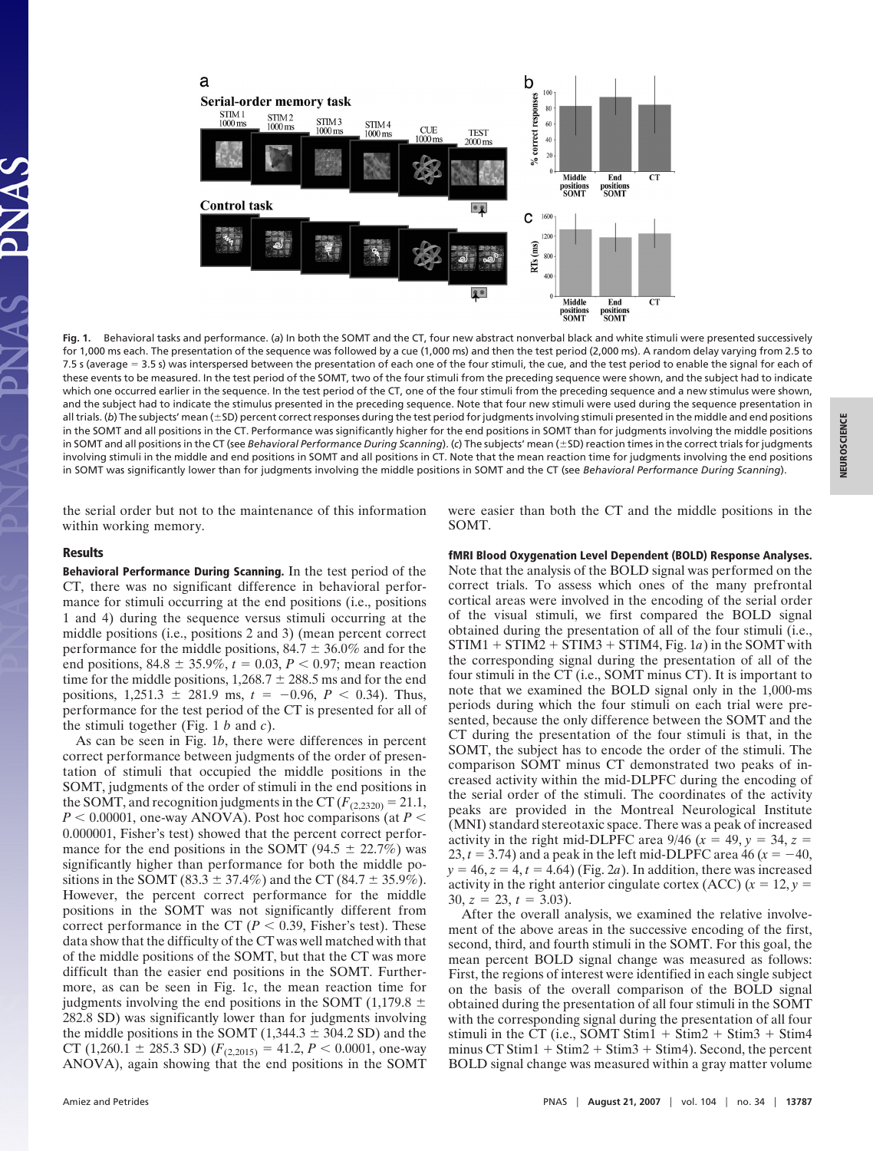

**Fig. 1.** Behavioral tasks and performance. (*a*) In both the SOMT and the CT, four new abstract nonverbal black and white stimuli were presented successively for 1,000 ms each. The presentation of the sequence was followed by a cue (1,000 ms) and then the test period (2,000 ms). A random delay varying from 2.5 to 7.5 s (average 3.5 s) was interspersed between the presentation of each one of the four stimuli, the cue, and the test period to enable the signal for each of these events to be measured. In the test period of the SOMT, two of the four stimuli from the preceding sequence were shown, and the subject had to indicate which one occurred earlier in the sequence. In the test period of the CT, one of the four stimuli from the preceding sequence and a new stimulus were shown, and the subject had to indicate the stimulus presented in the preceding sequence. Note that four new stimuli were used during the sequence presentation in all trials. (b) The subjects' mean (±SD) percent correct responses during the test period for judgments involving stimuli presented in the middle and end positions **NEUROSCIENCE**NEUROSCIENCE in the SOMT and all positions in the CT. Performance was significantly higher for the end positions in SOMT than for judgments involving the middle positions in SOMT and all positions in the CT (see *Behavioral Performance During Scanning*). (c) The subjects' mean (±SD) reaction times in the correct trials for judgments involving stimuli in the middle and end positions in SOMT and all positions in CT. Note that the mean reaction time for judgments involving the end positions in SOMT was significantly lower than for judgments involving the middle positions in SOMT and the CT (see *Behavioral Performance During Scanning*).

the serial order but not to the maintenance of this information within working memory.

# **Results**

**Behavioral Performance During Scanning.** In the test period of the CT, there was no significant difference in behavioral performance for stimuli occurring at the end positions (i.e., positions 1 and 4) during the sequence versus stimuli occurring at the middle positions (i.e., positions 2 and 3) (mean percent correct performance for the middle positions,  $84.7 \pm 36.0\%$  and for the end positions,  $84.8 \pm 35.9\%, t = 0.03, P < 0.97$ ; mean reaction time for the middle positions,  $1,268.7 \pm 288.5$  ms and for the end positions,  $1,251.3 \pm 281.9$  ms,  $t = -0.96$ ,  $P < 0.34$ ). Thus, performance for the test period of the CT is presented for all of the stimuli together (Fig. 1 *b* and *c*).

As can be seen in Fig. 1*b*, there were differences in percent correct performance between judgments of the order of presentation of stimuli that occupied the middle positions in the SOMT, judgments of the order of stimuli in the end positions in the SOMT, and recognition judgments in the CT  $(F_{(2,2320)} = 21.1,$  $P$  < 0.00001, one-way ANOVA). Post hoc comparisons (at  $P$  < 0.000001, Fisher's test) showed that the percent correct performance for the end positions in the SOMT (94.5  $\pm$  22.7%) was significantly higher than performance for both the middle positions in the SOMT (83.3  $\pm$  37.4%) and the CT (84.7  $\pm$  35.9%). However, the percent correct performance for the middle positions in the SOMT was not significantly different from correct performance in the CT ( $P < 0.39$ , Fisher's test). These data show that the difficulty of the CT was well matched with that of the middle positions of the SOMT, but that the CT was more difficult than the easier end positions in the SOMT. Furthermore, as can be seen in Fig. 1*c*, the mean reaction time for judgments involving the end positions in the SOMT (1,179.8  $\pm$ 282.8 SD) was significantly lower than for judgments involving the middle positions in the SOMT  $(1,344.3 \pm 304.2$  SD) and the CT (1,260.1  $\pm$  285.3 SD) ( $F_{(2,2015)} = 41.2, P < 0.0001$ , one-way ANOVA), again showing that the end positions in the SOMT were easier than both the CT and the middle positions in the SOMT.

#### **fMRI Blood Oxygenation Level Dependent (BOLD) Response Analyses.**

Note that the analysis of the BOLD signal was performed on the correct trials. To assess which ones of the many prefrontal cortical areas were involved in the encoding of the serial order of the visual stimuli, we first compared the BOLD signal obtained during the presentation of all of the four stimuli (i.e.,  $STIM1 + STIM2 + STIM3 + STIM4$ , Fig. 1*a*) in the SOMT with the corresponding signal during the presentation of all of the four stimuli in the CT (i.e., SOMT minus CT). It is important to note that we examined the BOLD signal only in the 1,000-ms periods during which the four stimuli on each trial were presented, because the only difference between the SOMT and the CT during the presentation of the four stimuli is that, in the SOMT, the subject has to encode the order of the stimuli. The comparison SOMT minus CT demonstrated two peaks of increased activity within the mid-DLPFC during the encoding of the serial order of the stimuli. The coordinates of the activity peaks are provided in the Montreal Neurological Institute (MNI) standard stereotaxic space. There was a peak of increased activity in the right mid-DLPFC area 9/46 ( $x = 49$ ,  $y = 34$ ,  $z =$ 23,  $t = 3.74$ ) and a peak in the left mid-DLPFC area 46 ( $x = -40$ ,  $y = 46$ ,  $z = 4$ ,  $t = 4.64$ ) (Fig. 2*a*). In addition, there was increased activity in the right anterior cingulate cortex (ACC)  $(x = 12, y = 12)$  $30, z = 23, t = 3.03$ .

After the overall analysis, we examined the relative involvement of the above areas in the successive encoding of the first, second, third, and fourth stimuli in the SOMT. For this goal, the mean percent BOLD signal change was measured as follows: First, the regions of interest were identified in each single subject on the basis of the overall comparison of the BOLD signal obtained during the presentation of all four stimuli in the SOMT with the corresponding signal during the presentation of all four stimuli in the CT (i.e., SOMT Stim1  $+$  Stim2  $+$  Stim3  $+$  Stim4 minus  $CT \text{Stim1} + \text{Stim2} + \text{Stim3} + \text{Stim4}$ ). Second, the percent BOLD signal change was measured within a gray matter volume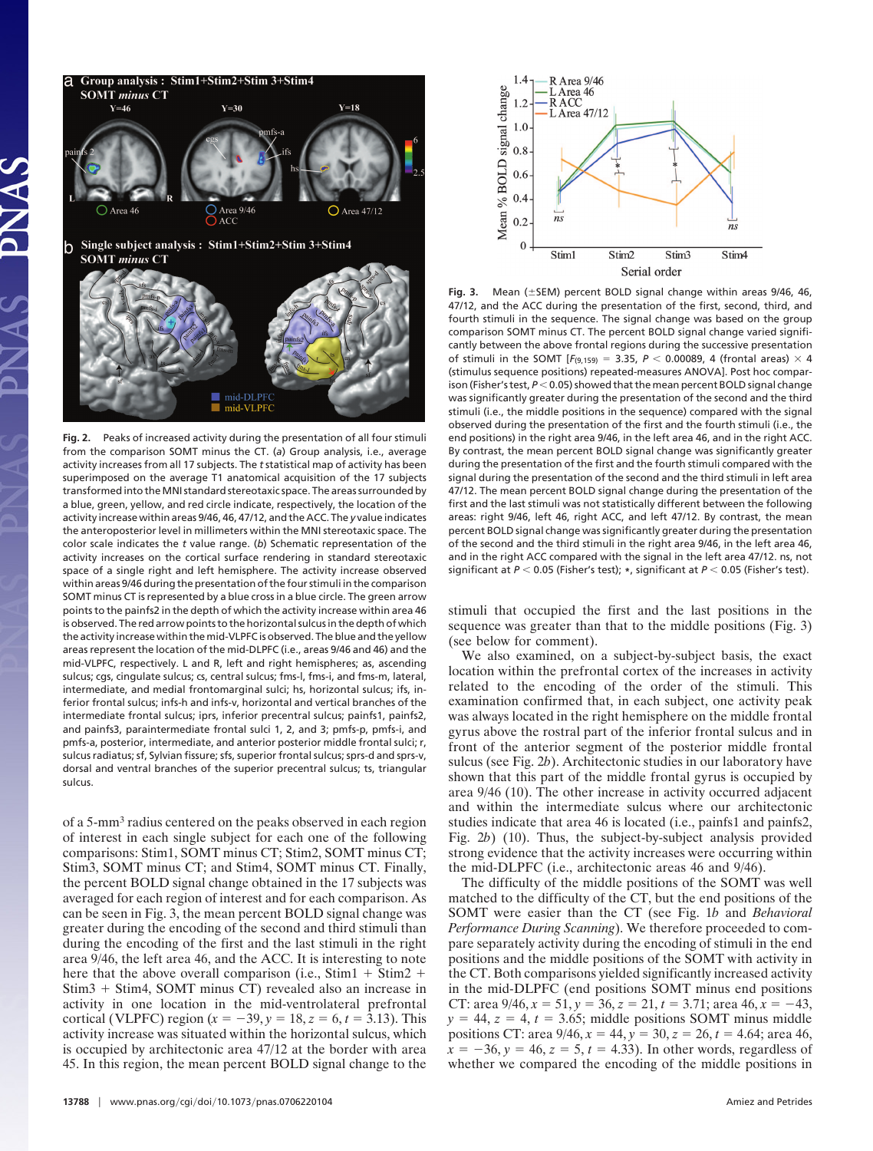

**Fig. 2.** Peaks of increased activity during the presentation of all four stimuli from the comparison SOMT minus the CT. (*a*) Group analysis, i.e., average activity increases from all 17 subjects. The *t* statistical map of activity has been superimposed on the average T1 anatomical acquisition of the 17 subjects transformed into the MNI standard stereotaxic space. The areas surrounded by a blue, green, yellow, and red circle indicate, respectively, the location of the activity increase within areas 9/46, 46, 47/12, and the ACC. The *y* value indicates the anteroposterior level in millimeters within the MNI stereotaxic space. The color scale indicates the *t* value range. (*b*) Schematic representation of the activity increases on the cortical surface rendering in standard stereotaxic space of a single right and left hemisphere. The activity increase observed within areas 9/46 during the presentation of the four stimuli in the comparison SOMT minus CT is represented by a blue cross in a blue circle. The green arrow points to the painfs2 in the depth of which the activity increase within area 46 is observed. The red arrow points to the horizontal sulcus in the depth of which the activity increase within the mid-VLPFC is observed. The blue and the yellow areas represent the location of the mid-DLPFC (i.e., areas 9/46 and 46) and the mid-VLPFC, respectively. L and R, left and right hemispheres; as, ascending sulcus; cgs, cingulate sulcus; cs, central sulcus; fms-l, fms-i, and fms-m, lateral, intermediate, and medial frontomarginal sulci; hs, horizontal sulcus; ifs, inferior frontal sulcus; infs-h and infs-v, horizontal and vertical branches of the intermediate frontal sulcus; iprs, inferior precentral sulcus; painfs1, painfs2, and painfs3, paraintermediate frontal sulci 1, 2, and 3; pmfs-p, pmfs-i, and pmfs-a, posterior, intermediate, and anterior posterior middle frontal sulci; r, sulcus radiatus; sf, Sylvian fissure; sfs, superior frontal sulcus; sprs-d and sprs-v, dorsal and ventral branches of the superior precentral sulcus; ts, triangular sulcus.

of a 5-mm<sup>3</sup> radius centered on the peaks observed in each region of interest in each single subject for each one of the following comparisons: Stim1, SOMT minus CT; Stim2, SOMT minus CT; Stim3, SOMT minus CT; and Stim4, SOMT minus CT. Finally, the percent BOLD signal change obtained in the 17 subjects was averaged for each region of interest and for each comparison. As can be seen in Fig. 3, the mean percent BOLD signal change was greater during the encoding of the second and third stimuli than during the encoding of the first and the last stimuli in the right area 9/46, the left area 46, and the ACC. It is interesting to note here that the above overall comparison (i.e., Stim1  $+$  Stim2  $+$  $Stim3 + Stim4$ , SOMT minus CT) revealed also an increase in activity in one location in the mid-ventrolateral prefrontal cortical (VLPFC) region  $(x = -39, y = 18, z = 6, t = 3.13)$ . This activity increase was situated within the horizontal sulcus, which is occupied by architectonic area 47/12 at the border with area 45. In this region, the mean percent BOLD signal change to the



Fig. 3. Mean (±SEM) percent BOLD signal change within areas 9/46, 46, 47/12, and the ACC during the presentation of the first, second, third, and fourth stimuli in the sequence. The signal change was based on the group comparison SOMT minus CT. The percent BOLD signal change varied significantly between the above frontal regions during the successive presentation of stimuli in the SOMT  $[F_{(9,159)} = 3.35, P < 0.00089, 4$  (frontal areas)  $\times$  4 (stimulus sequence positions) repeated-measures ANOVA]. Post hoc comparison (Fisher's test,  $P < 0.05$ ) showed that the mean percent BOLD signal change was significantly greater during the presentation of the second and the third stimuli (i.e., the middle positions in the sequence) compared with the signal observed during the presentation of the first and the fourth stimuli (i.e., the end positions) in the right area 9/46, in the left area 46, and in the right ACC. By contrast, the mean percent BOLD signal change was significantly greater during the presentation of the first and the fourth stimuli compared with the signal during the presentation of the second and the third stimuli in left area 47/12. The mean percent BOLD signal change during the presentation of the first and the last stimuli was not statistically different between the following areas: right 9/46, left 46, right ACC, and left 47/12. By contrast, the mean percent BOLD signal change was significantly greater during the presentation of the second and the third stimuli in the right area 9/46, in the left area 46, and in the right ACC compared with the signal in the left area 47/12. ns, not significant at  $P < 0.05$  (Fisher's test); \*, significant at  $P < 0.05$  (Fisher's test).

stimuli that occupied the first and the last positions in the sequence was greater than that to the middle positions (Fig. 3) (see below for comment).

We also examined, on a subject-by-subject basis, the exact location within the prefrontal cortex of the increases in activity related to the encoding of the order of the stimuli. This examination confirmed that, in each subject, one activity peak was always located in the right hemisphere on the middle frontal gyrus above the rostral part of the inferior frontal sulcus and in front of the anterior segment of the posterior middle frontal sulcus (see Fig. 2*b*). Architectonic studies in our laboratory have shown that this part of the middle frontal gyrus is occupied by area 9/46 (10). The other increase in activity occurred adjacent and within the intermediate sulcus where our architectonic studies indicate that area 46 is located (i.e., painfs1 and painfs2, Fig. 2*b*) (10). Thus, the subject-by-subject analysis provided strong evidence that the activity increases were occurring within the mid-DLPFC (i.e., architectonic areas 46 and 9/46).

The difficulty of the middle positions of the SOMT was well matched to the difficulty of the CT, but the end positions of the SOMT were easier than the CT (see Fig. 1*b* and *Behavioral Performance During Scanning*). We therefore proceeded to compare separately activity during the encoding of stimuli in the end positions and the middle positions of the SOMT with activity in the CT. Both comparisons yielded significantly increased activity in the mid-DLPFC (end positions SOMT minus end positions CT: area  $9/46$ ,  $x = 51$ ,  $y = 36$ ,  $z = 21$ ,  $t = 3.71$ ; area  $46$ ,  $x = -43$ ,  $y = 44$ ,  $z = 4$ ,  $t = 3.65$ ; middle positions SOMT minus middle positions CT: area  $9/46$ ,  $x = 44$ ,  $y = 30$ ,  $z = 26$ ,  $t = 4.64$ ; area 46,  $\hat{x} = -36, y = 46, z = 5, t = 4.33$ . In other words, regardless of whether we compared the encoding of the middle positions in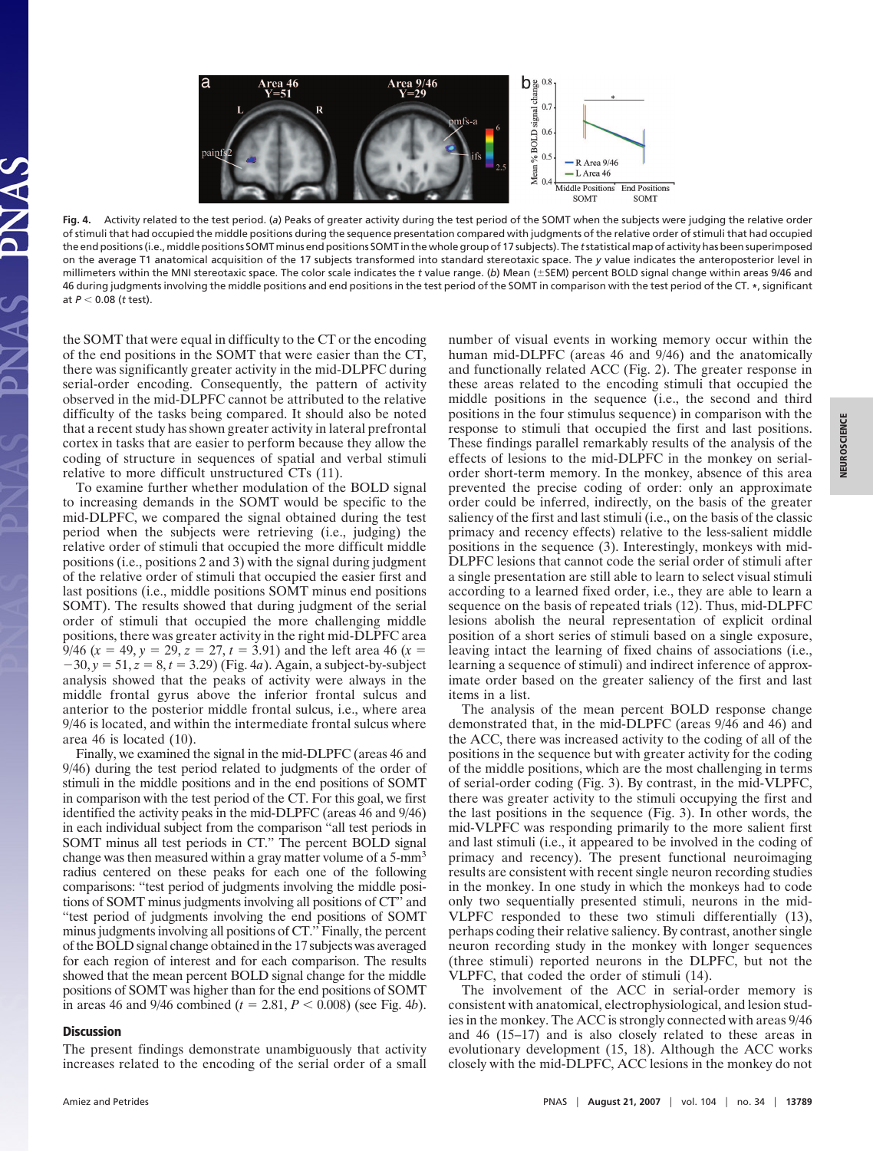

**Fig. 4.** Activity related to the test period. (*a*) Peaks of greater activity during the test period of the SOMT when the subjects were judging the relative order of stimuli that had occupied the middle positions during the sequence presentation compared with judgments of the relative order of stimuli that had occupied the end positions (i.e., middle positions SOMT minus end positions SOMT in the whole group of 17 subjects). The *t*statistical map of activity has been superimposed on the average T1 anatomical acquisition of the 17 subjects transformed into standard stereotaxic space. The *y* value indicates the anteroposterior level in millimeters within the MNI stereotaxic space. The color scale indicates the *t* value range. (*b*) Mean (-SEM) percent BOLD signal change within areas 9/46 and 46 during judgments involving the middle positions and end positions in the test period of the SOMT in comparison with the test period of the CT. **\***, significant at *P* 0.08 (*t* test).

the SOMT that were equal in difficulty to the CT or the encoding of the end positions in the SOMT that were easier than the CT, there was significantly greater activity in the mid-DLPFC during serial-order encoding. Consequently, the pattern of activity observed in the mid-DLPFC cannot be attributed to the relative difficulty of the tasks being compared. It should also be noted that a recent study has shown greater activity in lateral prefrontal cortex in tasks that are easier to perform because they allow the coding of structure in sequences of spatial and verbal stimuli relative to more difficult unstructured CTs (11).

To examine further whether modulation of the BOLD signal to increasing demands in the SOMT would be specific to the mid-DLPFC, we compared the signal obtained during the test period when the subjects were retrieving (i.e., judging) the relative order of stimuli that occupied the more difficult middle positions (i.e., positions 2 and 3) with the signal during judgment of the relative order of stimuli that occupied the easier first and last positions (i.e., middle positions SOMT minus end positions SOMT). The results showed that during judgment of the serial order of stimuli that occupied the more challenging middle positions, there was greater activity in the right mid-DLPFC area 9/46  $(x = 49, y = 29, z = 27, t = 3.91)$  and the left area 46  $(x = 9.91)$  $-30, y = 51, z = 8, t = 3.29$  (Fig. 4*a*). Again, a subject-by-subject analysis showed that the peaks of activity were always in the middle frontal gyrus above the inferior frontal sulcus and anterior to the posterior middle frontal sulcus, i.e., where area 9/46 is located, and within the intermediate frontal sulcus where area 46 is located (10).

Finally, we examined the signal in the mid-DLPFC (areas 46 and 9/46) during the test period related to judgments of the order of stimuli in the middle positions and in the end positions of SOMT in comparison with the test period of the CT. For this goal, we first identified the activity peaks in the mid-DLPFC (areas 46 and 9/46) in each individual subject from the comparison ''all test periods in SOMT minus all test periods in CT." The percent BOLD signal change was then measured within a gray matter volume of a 5-mm<sup>3</sup> radius centered on these peaks for each one of the following comparisons: ''test period of judgments involving the middle positions of SOMT minus judgments involving all positions of CT'' and ''test period of judgments involving the end positions of SOMT minus judgments involving all positions of CT.'' Finally, the percent of the BOLD signal change obtained in the 17 subjects was averaged for each region of interest and for each comparison. The results showed that the mean percent BOLD signal change for the middle positions of SOMT was higher than for the end positions of SOMT in areas 46 and 9/46 combined ( $t = 2.81, P < 0.008$ ) (see Fig. 4*b*).

# **Discussion**

The present findings demonstrate unambiguously that activity increases related to the encoding of the serial order of a small number of visual events in working memory occur within the human mid-DLPFC (areas 46 and 9/46) and the anatomically and functionally related ACC (Fig. 2). The greater response in these areas related to the encoding stimuli that occupied the middle positions in the sequence (i.e., the second and third positions in the four stimulus sequence) in comparison with the response to stimuli that occupied the first and last positions. These findings parallel remarkably results of the analysis of the effects of lesions to the mid-DLPFC in the monkey on serialorder short-term memory. In the monkey, absence of this area prevented the precise coding of order: only an approximate order could be inferred, indirectly, on the basis of the greater saliency of the first and last stimuli (i.e., on the basis of the classic primacy and recency effects) relative to the less-salient middle positions in the sequence (3). Interestingly, monkeys with mid-DLPFC lesions that cannot code the serial order of stimuli after a single presentation are still able to learn to select visual stimuli according to a learned fixed order, i.e., they are able to learn a sequence on the basis of repeated trials (12). Thus, mid-DLPFC lesions abolish the neural representation of explicit ordinal position of a short series of stimuli based on a single exposure, leaving intact the learning of fixed chains of associations (i.e., learning a sequence of stimuli) and indirect inference of approximate order based on the greater saliency of the first and last items in a list.

The analysis of the mean percent BOLD response change demonstrated that, in the mid-DLPFC (areas 9/46 and 46) and the ACC, there was increased activity to the coding of all of the positions in the sequence but with greater activity for the coding of the middle positions, which are the most challenging in terms of serial-order coding (Fig. 3). By contrast, in the mid-VLPFC, there was greater activity to the stimuli occupying the first and the last positions in the sequence (Fig. 3). In other words, the mid-VLPFC was responding primarily to the more salient first and last stimuli (i.e., it appeared to be involved in the coding of primacy and recency). The present functional neuroimaging results are consistent with recent single neuron recording studies in the monkey. In one study in which the monkeys had to code only two sequentially presented stimuli, neurons in the mid-VLPFC responded to these two stimuli differentially (13), perhaps coding their relative saliency. By contrast, another single neuron recording study in the monkey with longer sequences (three stimuli) reported neurons in the DLPFC, but not the VLPFC, that coded the order of stimuli (14).

The involvement of the ACC in serial-order memory is consistent with anatomical, electrophysiological, and lesion studies in the monkey. The ACC is strongly connected with areas 9/46 and 46 (15–17) and is also closely related to these areas in evolutionary development (15, 18). Although the ACC works closely with the mid-DLPFC, ACC lesions in the monkey do not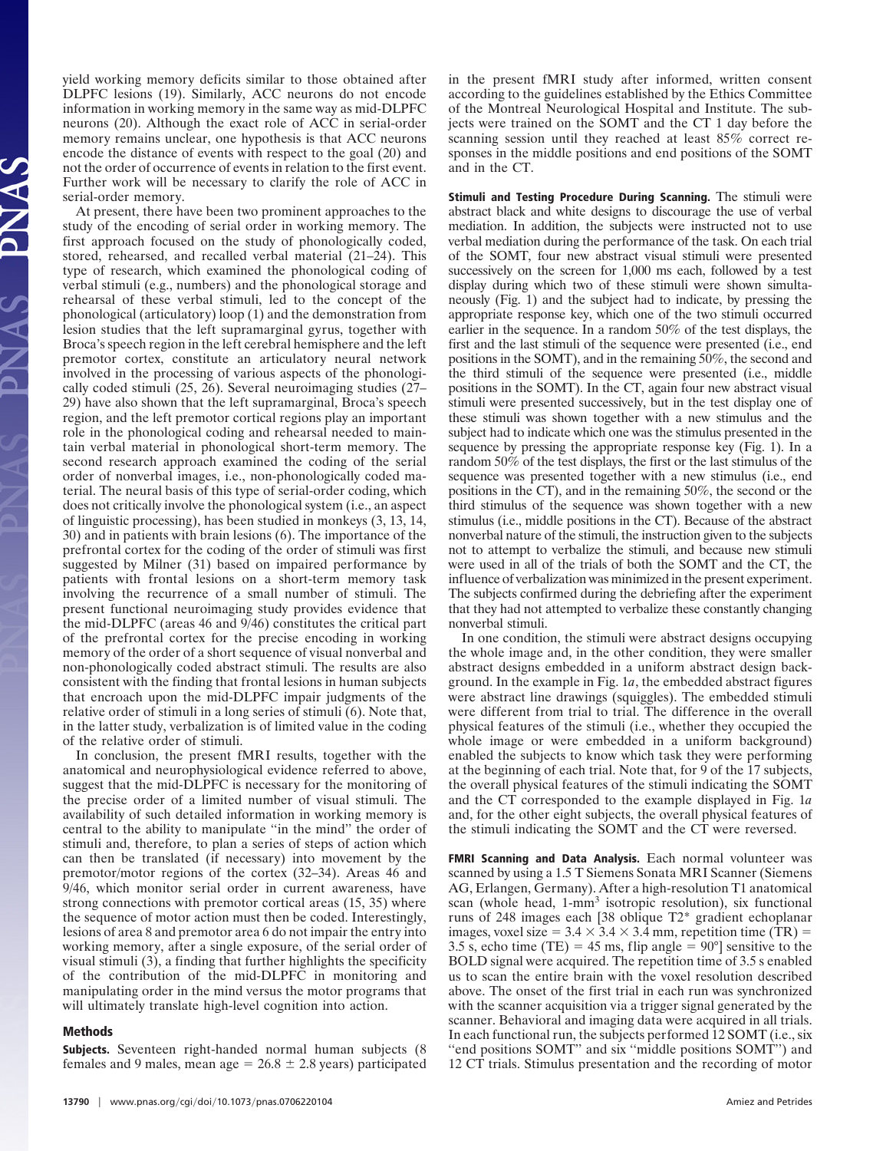yield working memory deficits similar to those obtained after DLPFC lesions (19). Similarly, ACC neurons do not encode information in working memory in the same way as mid-DLPFC neurons (20). Although the exact role of ACC in serial-order memory remains unclear, one hypothesis is that ACC neurons encode the distance of events with respect to the goal (20) and not the order of occurrence of events in relation to the first event. Further work will be necessary to clarify the role of ACC in serial-order memory.

At present, there have been two prominent approaches to the study of the encoding of serial order in working memory. The first approach focused on the study of phonologically coded, stored, rehearsed, and recalled verbal material (21–24). This type of research, which examined the phonological coding of verbal stimuli (e.g., numbers) and the phonological storage and rehearsal of these verbal stimuli, led to the concept of the phonological (articulatory) loop (1) and the demonstration from lesion studies that the left supramarginal gyrus, together with Broca's speech region in the left cerebral hemisphere and the left premotor cortex, constitute an articulatory neural network involved in the processing of various aspects of the phonologically coded stimuli (25, 26). Several neuroimaging studies (27– 29) have also shown that the left supramarginal, Broca's speech region, and the left premotor cortical regions play an important role in the phonological coding and rehearsal needed to maintain verbal material in phonological short-term memory. The second research approach examined the coding of the serial order of nonverbal images, i.e., non-phonologically coded material. The neural basis of this type of serial-order coding, which does not critically involve the phonological system (i.e., an aspect of linguistic processing), has been studied in monkeys (3, 13, 14, 30) and in patients with brain lesions (6). The importance of the prefrontal cortex for the coding of the order of stimuli was first suggested by Milner (31) based on impaired performance by patients with frontal lesions on a short-term memory task involving the recurrence of a small number of stimuli. The present functional neuroimaging study provides evidence that the mid-DLPFC (areas 46 and 9/46) constitutes the critical part of the prefrontal cortex for the precise encoding in working memory of the order of a short sequence of visual nonverbal and non-phonologically coded abstract stimuli. The results are also consistent with the finding that frontal lesions in human subjects that encroach upon the mid-DLPFC impair judgments of the relative order of stimuli in a long series of stimuli (6). Note that, in the latter study, verbalization is of limited value in the coding of the relative order of stimuli.

In conclusion, the present fMRI results, together with the anatomical and neurophysiological evidence referred to above, suggest that the mid-DLPFC is necessary for the monitoring of the precise order of a limited number of visual stimuli. The availability of such detailed information in working memory is central to the ability to manipulate ''in the mind'' the order of stimuli and, therefore, to plan a series of steps of action which can then be translated (if necessary) into movement by the premotor/motor regions of the cortex (32–34). Areas 46 and 9/46, which monitor serial order in current awareness, have strong connections with premotor cortical areas (15, 35) where the sequence of motor action must then be coded. Interestingly, lesions of area 8 and premotor area 6 do not impair the entry into working memory, after a single exposure, of the serial order of visual stimuli (3), a finding that further highlights the specificity of the contribution of the mid-DLPFC in monitoring and manipulating order in the mind versus the motor programs that will ultimately translate high-level cognition into action.

# **Methods**

**Subjects.** Seventeen right-handed normal human subjects (8 females and 9 males, mean age  $= 26.8 \pm 2.8$  years) participated

in the present fMRI study after informed, written consent according to the guidelines established by the Ethics Committee of the Montreal Neurological Hospital and Institute. The subjects were trained on the SOMT and the CT 1 day before the scanning session until they reached at least 85% correct responses in the middle positions and end positions of the SOMT and in the CT.

**Stimuli and Testing Procedure During Scanning.** The stimuli were abstract black and white designs to discourage the use of verbal mediation. In addition, the subjects were instructed not to use verbal mediation during the performance of the task. On each trial of the SOMT, four new abstract visual stimuli were presented successively on the screen for 1,000 ms each, followed by a test display during which two of these stimuli were shown simultaneously (Fig. 1) and the subject had to indicate, by pressing the appropriate response key, which one of the two stimuli occurred earlier in the sequence. In a random 50% of the test displays, the first and the last stimuli of the sequence were presented (i.e., end positions in the SOMT), and in the remaining 50%, the second and the third stimuli of the sequence were presented (i.e., middle positions in the SOMT). In the CT, again four new abstract visual stimuli were presented successively, but in the test display one of these stimuli was shown together with a new stimulus and the subject had to indicate which one was the stimulus presented in the sequence by pressing the appropriate response key (Fig. 1). In a random 50% of the test displays, the first or the last stimulus of the sequence was presented together with a new stimulus (i.e., end positions in the CT), and in the remaining 50%, the second or the third stimulus of the sequence was shown together with a new stimulus (i.e., middle positions in the CT). Because of the abstract nonverbal nature of the stimuli, the instruction given to the subjects not to attempt to verbalize the stimuli, and because new stimuli were used in all of the trials of both the SOMT and the CT, the influence of verbalization was minimized in the present experiment. The subjects confirmed during the debriefing after the experiment that they had not attempted to verbalize these constantly changing nonverbal stimuli.

In one condition, the stimuli were abstract designs occupying the whole image and, in the other condition, they were smaller abstract designs embedded in a uniform abstract design background. In the example in Fig. 1*a*, the embedded abstract figures were abstract line drawings (squiggles). The embedded stimuli were different from trial to trial. The difference in the overall physical features of the stimuli (i.e., whether they occupied the whole image or were embedded in a uniform background) enabled the subjects to know which task they were performing at the beginning of each trial. Note that, for 9 of the 17 subjects, the overall physical features of the stimuli indicating the SOMT and the CT corresponded to the example displayed in Fig. 1*a* and, for the other eight subjects, the overall physical features of the stimuli indicating the SOMT and the CT were reversed.

**FMRI Scanning and Data Analysis.** Each normal volunteer was scanned by using a 1.5 T Siemens Sonata MRI Scanner (Siemens AG, Erlangen, Germany). After a high-resolution T1 anatomical scan (whole head, 1-mm<sup>3</sup> isotropic resolution), six functional runs of 248 images each [38 oblique T2\* gradient echoplanar images, voxel size =  $3.4 \times 3.4 \times 3.4$  mm, repetition time (TR) = 3.5 s, echo time (TE) = 45 ms, flip angle =  $90^{\circ}$ ] sensitive to the BOLD signal were acquired. The repetition time of 3.5 s enabled us to scan the entire brain with the voxel resolution described above. The onset of the first trial in each run was synchronized with the scanner acquisition via a trigger signal generated by the scanner. Behavioral and imaging data were acquired in all trials. In each functional run, the subjects performed 12 SOMT (i.e., six "end positions SOMT" and six "middle positions SOMT") and 12 CT trials. Stimulus presentation and the recording of motor